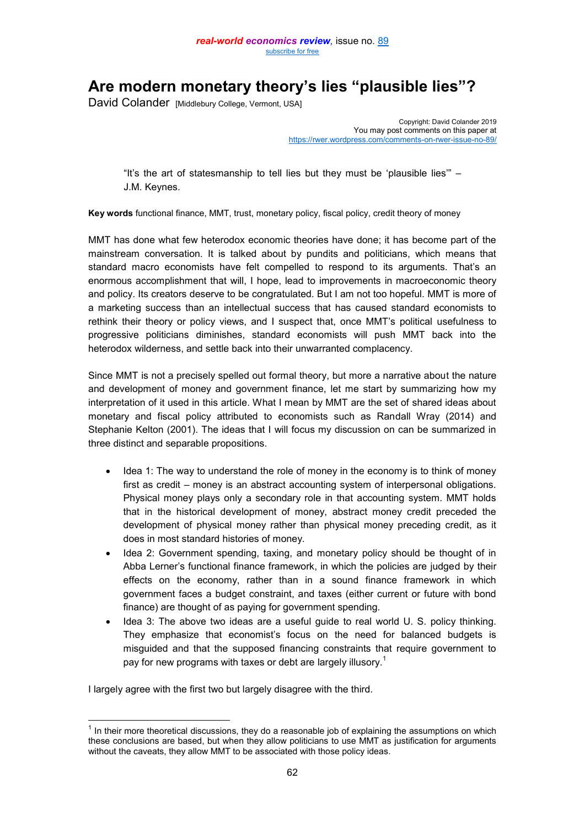# **Are modern monetary theory's lies "plausible lies"?**

David Colander [Middlebury College, Vermont, USA]

Copyright: David Colander 2019 You may post comments on this paper at <https://rwer.wordpress.com/comments-on-rwer-issue-no-89/>

"It's the art of statesmanship to tell lies but they must be 'plausible lies'" – J.M. Keynes.

**Key words** functional finance, MMT, trust, monetary policy, fiscal policy, credit theory of money

MMT has done what few heterodox economic theories have done; it has become part of the mainstream conversation. It is talked about by pundits and politicians, which means that standard macro economists have felt compelled to respond to its arguments. That's an enormous accomplishment that will, I hope, lead to improvements in macroeconomic theory and policy. Its creators deserve to be congratulated. But I am not too hopeful. MMT is more of a marketing success than an intellectual success that has caused standard economists to rethink their theory or policy views, and I suspect that, once MMT's political usefulness to progressive politicians diminishes, standard economists will push MMT back into the heterodox wilderness, and settle back into their unwarranted complacency.

Since MMT is not a precisely spelled out formal theory, but more a narrative about the nature and development of money and government finance, let me start by summarizing how my interpretation of it used in this article. What I mean by MMT are the set of shared ideas about monetary and fiscal policy attributed to economists such as Randall Wray (2014) and Stephanie Kelton (2001). The ideas that I will focus my discussion on can be summarized in three distinct and separable propositions.

- Idea 1: The way to understand the role of money in the economy is to think of money first as credit – money is an abstract accounting system of interpersonal obligations. Physical money plays only a secondary role in that accounting system. MMT holds that in the historical development of money, abstract money credit preceded the development of physical money rather than physical money preceding credit, as it does in most standard histories of money.
- Idea 2: Government spending, taxing, and monetary policy should be thought of in Abba Lerner's functional finance framework, in which the policies are judged by their effects on the economy, rather than in a sound finance framework in which government faces a budget constraint, and taxes (either current or future with bond finance) are thought of as paying for government spending.
- Idea 3: The above two ideas are a useful guide to real world U. S. policy thinking. They emphasize that economist's focus on the need for balanced budgets is misguided and that the supposed financing constraints that require government to pay for new programs with taxes or debt are largely illusory.<sup>1</sup>

I largely agree with the first two but largely disagree with the third.

 $\overline{a}$ 

 $1$  In their more theoretical discussions, they do a reasonable job of explaining the assumptions on which these conclusions are based, but when they allow politicians to use MMT as justification for arguments without the caveats, they allow MMT to be associated with those policy ideas.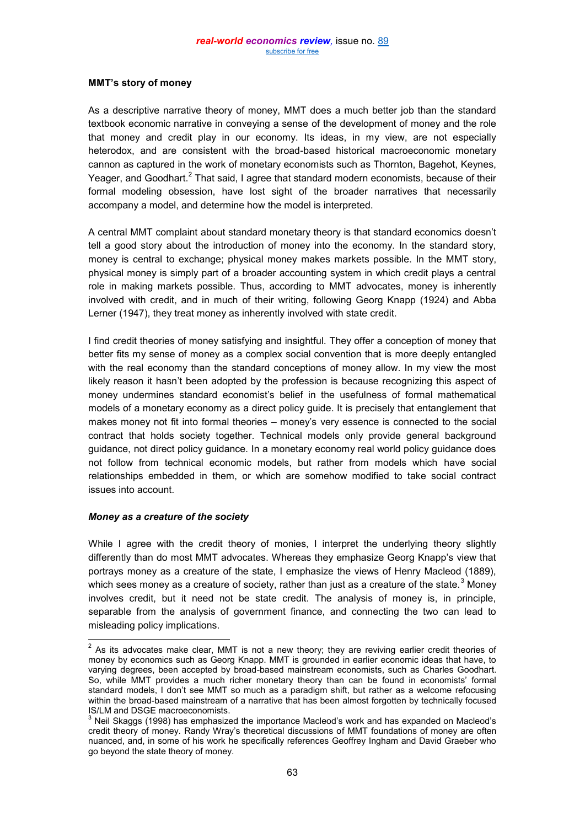# **MMT's story of money**

As a descriptive narrative theory of money, MMT does a much better job than the standard textbook economic narrative in conveying a sense of the development of money and the role that money and credit play in our economy. Its ideas, in my view, are not especially heterodox, and are consistent with the broad-based historical macroeconomic monetary cannon as captured in the work of monetary economists such as Thornton, Bagehot, Keynes, Yeager, and Goodhart.<sup>2</sup> That said, I agree that standard modern economists, because of their formal modeling obsession, have lost sight of the broader narratives that necessarily accompany a model, and determine how the model is interpreted.

A central MMT complaint about standard monetary theory is that standard economics doesn't tell a good story about the introduction of money into the economy. In the standard story, money is central to exchange; physical money makes markets possible. In the MMT story, physical money is simply part of a broader accounting system in which credit plays a central role in making markets possible. Thus, according to MMT advocates, money is inherently involved with credit, and in much of their writing, following Georg Knapp (1924) and Abba Lerner (1947), they treat money as inherently involved with state credit.

I find credit theories of money satisfying and insightful. They offer a conception of money that better fits my sense of money as a complex social convention that is more deeply entangled with the real economy than the standard conceptions of money allow. In my view the most likely reason it hasn't been adopted by the profession is because recognizing this aspect of money undermines standard economist's belief in the usefulness of formal mathematical models of a monetary economy as a direct policy guide. It is precisely that entanglement that makes money not fit into formal theories – money's very essence is connected to the social contract that holds society together. Technical models only provide general background guidance, not direct policy guidance. In a monetary economy real world policy guidance does not follow from technical economic models, but rather from models which have social relationships embedded in them, or which are somehow modified to take social contract issues into account.

#### *Money as a creature of the society*

While I agree with the credit theory of monies, I interpret the underlying theory slightly differently than do most MMT advocates. Whereas they emphasize Georg Knapp's view that portrays money as a creature of the state, I emphasize the views of Henry Macleod (1889), which sees money as a creature of society, rather than just as a creature of the state. $3$  Money involves credit, but it need not be state credit. The analysis of money is, in principle, separable from the analysis of government finance, and connecting the two can lead to misleading policy implications.

 $\overline{\phantom{a}^2}$  As its advocates make clear, MMT is not a new theory; they are reviving earlier credit theories of money by economics such as Georg Knapp. MMT is grounded in earlier economic ideas that have, to varying degrees, been accepted by broad-based mainstream economists, such as Charles Goodhart. So, while MMT provides a much richer monetary theory than can be found in economists' formal standard models, I don't see MMT so much as a paradigm shift, but rather as a welcome refocusing within the broad-based mainstream of a narrative that has been almost forgotten by technically focused IS/LM and DSGE macroeconomists.

 $3$  Neil Skaggs (1998) has emphasized the importance Macleod's work and has expanded on Macleod's credit theory of money. Randy Wray's theoretical discussions of MMT foundations of money are often nuanced, and, in some of his work he specifically references Geoffrey Ingham and David Graeber who go beyond the state theory of money.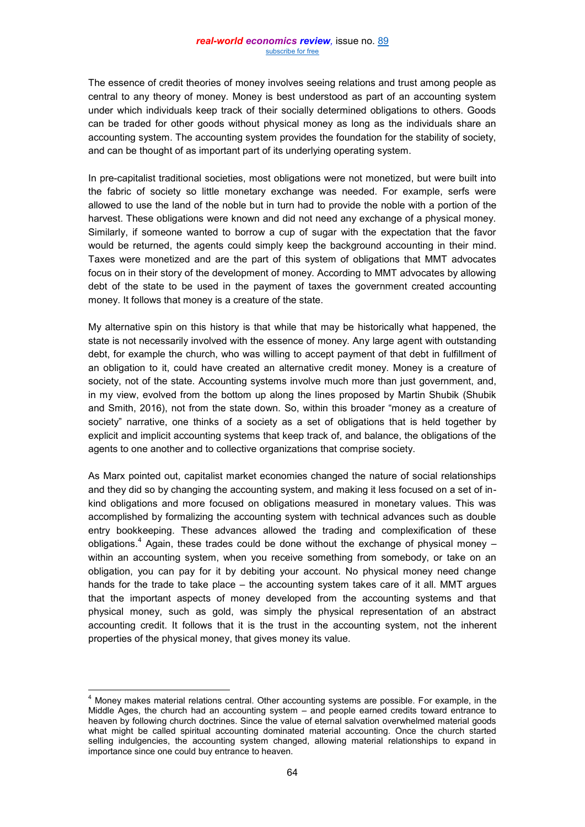The essence of credit theories of money involves seeing relations and trust among people as central to any theory of money. Money is best understood as part of an accounting system under which individuals keep track of their socially determined obligations to others. Goods can be traded for other goods without physical money as long as the individuals share an accounting system. The accounting system provides the foundation for the stability of society, and can be thought of as important part of its underlying operating system.

In pre-capitalist traditional societies, most obligations were not monetized, but were built into the fabric of society so little monetary exchange was needed. For example, serfs were allowed to use the land of the noble but in turn had to provide the noble with a portion of the harvest. These obligations were known and did not need any exchange of a physical money. Similarly, if someone wanted to borrow a cup of sugar with the expectation that the favor would be returned, the agents could simply keep the background accounting in their mind. Taxes were monetized and are the part of this system of obligations that MMT advocates focus on in their story of the development of money. According to MMT advocates by allowing debt of the state to be used in the payment of taxes the government created accounting money. It follows that money is a creature of the state.

My alternative spin on this history is that while that may be historically what happened, the state is not necessarily involved with the essence of money. Any large agent with outstanding debt, for example the church, who was willing to accept payment of that debt in fulfillment of an obligation to it, could have created an alternative credit money. Money is a creature of society, not of the state. Accounting systems involve much more than just government, and, in my view, evolved from the bottom up along the lines proposed by Martin Shubik (Shubik and Smith, 2016), not from the state down. So, within this broader "money as a creature of society" narrative, one thinks of a society as a set of obligations that is held together by explicit and implicit accounting systems that keep track of, and balance, the obligations of the agents to one another and to collective organizations that comprise society.

As Marx pointed out, capitalist market economies changed the nature of social relationships and they did so by changing the accounting system, and making it less focused on a set of inkind obligations and more focused on obligations measured in monetary values. This was accomplished by formalizing the accounting system with technical advances such as double entry bookkeeping. These advances allowed the trading and complexification of these obligations.<sup>4</sup> Again, these trades could be done without the exchange of physical money – within an accounting system, when you receive something from somebody, or take on an obligation, you can pay for it by debiting your account. No physical money need change hands for the trade to take place – the accounting system takes care of it all. MMT argues that the important aspects of money developed from the accounting systems and that physical money, such as gold, was simply the physical representation of an abstract accounting credit. It follows that it is the trust in the accounting system, not the inherent properties of the physical money, that gives money its value.

 $\overline{a}$ 

 $<sup>4</sup>$  Money makes material relations central. Other accounting systems are possible. For example, in the</sup> Middle Ages, the church had an accounting system – and people earned credits toward entrance to heaven by following church doctrines. Since the value of eternal salvation overwhelmed material goods what might be called spiritual accounting dominated material accounting. Once the church started selling indulgencies, the accounting system changed, allowing material relationships to expand in importance since one could buy entrance to heaven.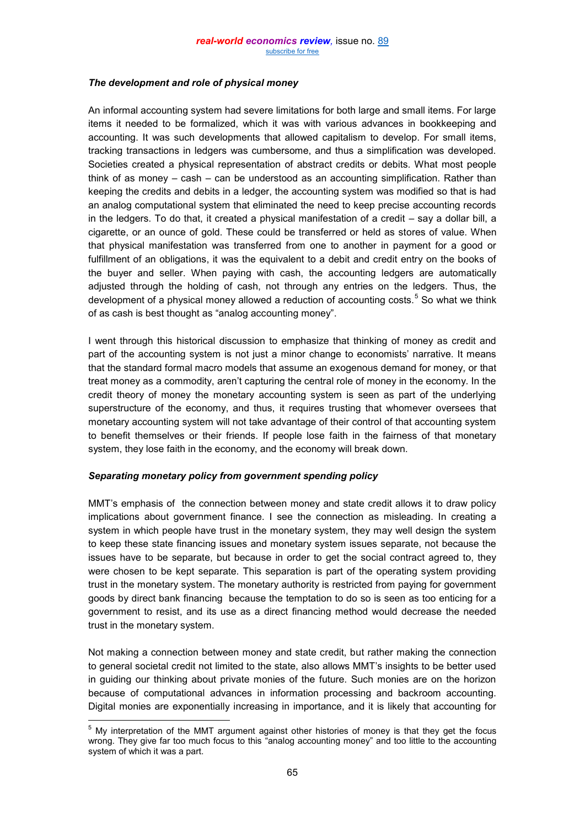# *The development and role of physical money*

An informal accounting system had severe limitations for both large and small items. For large items it needed to be formalized, which it was with various advances in bookkeeping and accounting. It was such developments that allowed capitalism to develop. For small items, tracking transactions in ledgers was cumbersome, and thus a simplification was developed. Societies created a physical representation of abstract credits or debits. What most people think of as money – cash – can be understood as an accounting simplification. Rather than keeping the credits and debits in a ledger, the accounting system was modified so that is had an analog computational system that eliminated the need to keep precise accounting records in the ledgers. To do that, it created a physical manifestation of a credit – say a dollar bill, a cigarette, or an ounce of gold. These could be transferred or held as stores of value. When that physical manifestation was transferred from one to another in payment for a good or fulfillment of an obligations, it was the equivalent to a debit and credit entry on the books of the buyer and seller. When paying with cash, the accounting ledgers are automatically adjusted through the holding of cash, not through any entries on the ledgers. Thus, the development of a physical money allowed a reduction of accounting costs.<sup>5</sup> So what we think of as cash is best thought as "analog accounting money".

I went through this historical discussion to emphasize that thinking of money as credit and part of the accounting system is not just a minor change to economists' narrative. It means that the standard formal macro models that assume an exogenous demand for money, or that treat money as a commodity, aren't capturing the central role of money in the economy. In the credit theory of money the monetary accounting system is seen as part of the underlying superstructure of the economy, and thus, it requires trusting that whomever oversees that monetary accounting system will not take advantage of their control of that accounting system to benefit themselves or their friends. If people lose faith in the fairness of that monetary system, they lose faith in the economy, and the economy will break down.

# *Separating monetary policy from government spending policy*

 $\overline{a}$ 

MMT's emphasis of the connection between money and state credit allows it to draw policy implications about government finance. I see the connection as misleading. In creating a system in which people have trust in the monetary system, they may well design the system to keep these state financing issues and monetary system issues separate, not because the issues have to be separate, but because in order to get the social contract agreed to, they were chosen to be kept separate. This separation is part of the operating system providing trust in the monetary system. The monetary authority is restricted from paying for government goods by direct bank financing because the temptation to do so is seen as too enticing for a government to resist, and its use as a direct financing method would decrease the needed trust in the monetary system.

Not making a connection between money and state credit, but rather making the connection to general societal credit not limited to the state, also allows MMT's insights to be better used in guiding our thinking about private monies of the future. Such monies are on the horizon because of computational advances in information processing and backroom accounting. Digital monies are exponentially increasing in importance, and it is likely that accounting for

 $5$  My interpretation of the MMT argument against other histories of money is that they get the focus wrong. They give far too much focus to this "analog accounting money" and too little to the accounting system of which it was a part.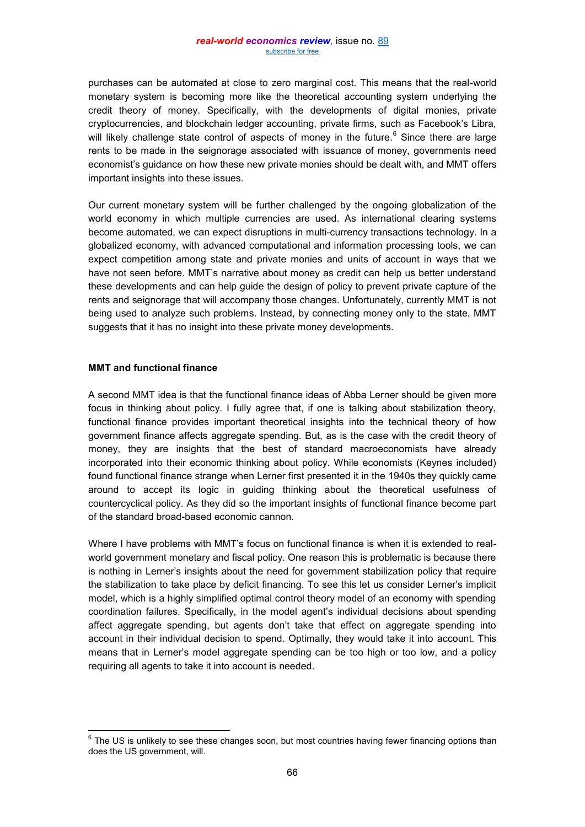purchases can be automated at close to zero marginal cost. This means that the real-world monetary system is becoming more like the theoretical accounting system underlying the credit theory of money. Specifically, with the developments of digital monies, private cryptocurrencies, and blockchain ledger accounting, private firms, such as Facebook's Libra, will likely challenge state control of aspects of money in the future.<sup>6</sup> Since there are large rents to be made in the seignorage associated with issuance of money, governments need economist's guidance on how these new private monies should be dealt with, and MMT offers important insights into these issues.

Our current monetary system will be further challenged by the ongoing globalization of the world economy in which multiple currencies are used. As international clearing systems become automated, we can expect disruptions in multi-currency transactions technology. In a globalized economy, with advanced computational and information processing tools, we can expect competition among state and private monies and units of account in ways that we have not seen before. MMT's narrative about money as credit can help us better understand these developments and can help guide the design of policy to prevent private capture of the rents and seignorage that will accompany those changes. Unfortunately, currently MMT is not being used to analyze such problems. Instead, by connecting money only to the state, MMT suggests that it has no insight into these private money developments.

#### **MMT and functional finance**

 $\overline{a}$ 

A second MMT idea is that the functional finance ideas of Abba Lerner should be given more focus in thinking about policy. I fully agree that, if one is talking about stabilization theory, functional finance provides important theoretical insights into the technical theory of how government finance affects aggregate spending. But, as is the case with the credit theory of money, they are insights that the best of standard macroeconomists have already incorporated into their economic thinking about policy. While economists (Keynes included) found functional finance strange when Lerner first presented it in the 1940s they quickly came around to accept its logic in guiding thinking about the theoretical usefulness of countercyclical policy. As they did so the important insights of functional finance become part of the standard broad-based economic cannon.

Where I have problems with MMT's focus on functional finance is when it is extended to realworld government monetary and fiscal policy. One reason this is problematic is because there is nothing in Lerner's insights about the need for government stabilization policy that require the stabilization to take place by deficit financing. To see this let us consider Lerner's implicit model, which is a highly simplified optimal control theory model of an economy with spending coordination failures. Specifically, in the model agent's individual decisions about spending affect aggregate spending, but agents don't take that effect on aggregate spending into account in their individual decision to spend. Optimally, they would take it into account. This means that in Lerner's model aggregate spending can be too high or too low, and a policy requiring all agents to take it into account is needed.

 $^6$  The US is unlikely to see these changes soon, but most countries having fewer financing options than does the US government, will.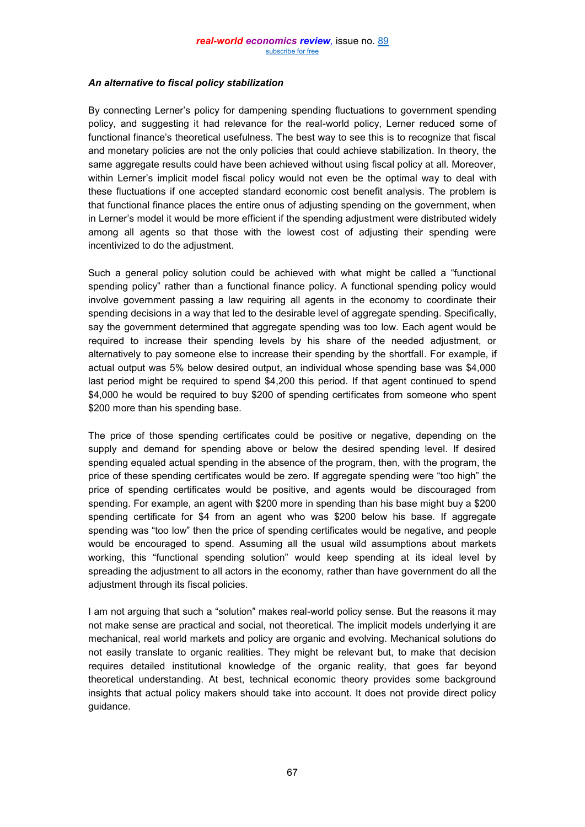#### *An alternative to fiscal policy stabilization*

By connecting Lerner's policy for dampening spending fluctuations to government spending policy, and suggesting it had relevance for the real-world policy, Lerner reduced some of functional finance's theoretical usefulness. The best way to see this is to recognize that fiscal and monetary policies are not the only policies that could achieve stabilization. In theory, the same aggregate results could have been achieved without using fiscal policy at all. Moreover, within Lerner's implicit model fiscal policy would not even be the optimal way to deal with these fluctuations if one accepted standard economic cost benefit analysis. The problem is that functional finance places the entire onus of adjusting spending on the government, when in Lerner's model it would be more efficient if the spending adjustment were distributed widely among all agents so that those with the lowest cost of adjusting their spending were incentivized to do the adjustment.

Such a general policy solution could be achieved with what might be called a "functional spending policy" rather than a functional finance policy. A functional spending policy would involve government passing a law requiring all agents in the economy to coordinate their spending decisions in a way that led to the desirable level of aggregate spending. Specifically, say the government determined that aggregate spending was too low. Each agent would be required to increase their spending levels by his share of the needed adjustment, or alternatively to pay someone else to increase their spending by the shortfall. For example, if actual output was 5% below desired output, an individual whose spending base was \$4,000 last period might be required to spend \$4,200 this period. If that agent continued to spend \$4,000 he would be required to buy \$200 of spending certificates from someone who spent \$200 more than his spending base.

The price of those spending certificates could be positive or negative, depending on the supply and demand for spending above or below the desired spending level. If desired spending equaled actual spending in the absence of the program, then, with the program, the price of these spending certificates would be zero. If aggregate spending were "too high" the price of spending certificates would be positive, and agents would be discouraged from spending. For example, an agent with \$200 more in spending than his base might buy a \$200 spending certificate for \$4 from an agent who was \$200 below his base. If aggregate spending was "too low" then the price of spending certificates would be negative, and people would be encouraged to spend. Assuming all the usual wild assumptions about markets working, this "functional spending solution" would keep spending at its ideal level by spreading the adjustment to all actors in the economy, rather than have government do all the adjustment through its fiscal policies.

I am not arguing that such a "solution" makes real-world policy sense. But the reasons it may not make sense are practical and social, not theoretical. The implicit models underlying it are mechanical, real world markets and policy are organic and evolving. Mechanical solutions do not easily translate to organic realities. They might be relevant but, to make that decision requires detailed institutional knowledge of the organic reality, that goes far beyond theoretical understanding. At best, technical economic theory provides some background insights that actual policy makers should take into account. It does not provide direct policy guidance.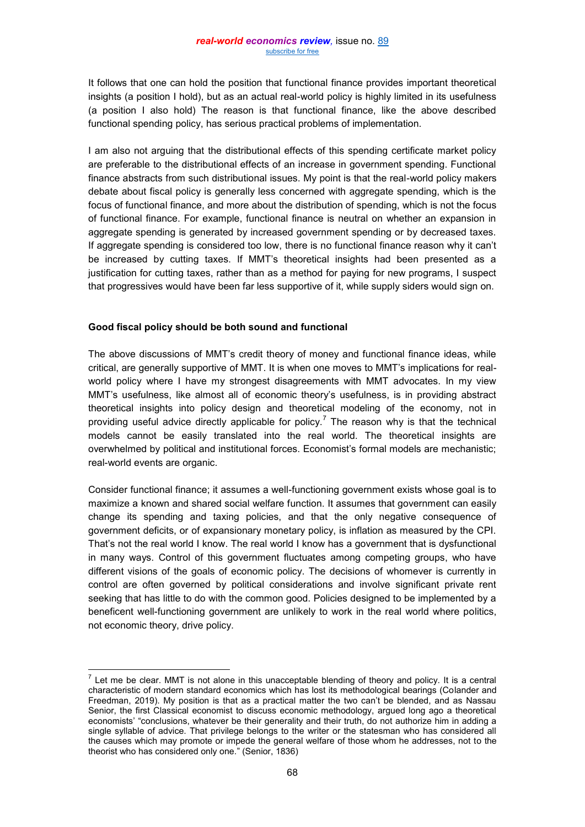It follows that one can hold the position that functional finance provides important theoretical insights (a position I hold), but as an actual real-world policy is highly limited in its usefulness (a position I also hold) The reason is that functional finance, like the above described functional spending policy, has serious practical problems of implementation.

I am also not arguing that the distributional effects of this spending certificate market policy are preferable to the distributional effects of an increase in government spending. Functional finance abstracts from such distributional issues. My point is that the real-world policy makers debate about fiscal policy is generally less concerned with aggregate spending, which is the focus of functional finance, and more about the distribution of spending, which is not the focus of functional finance. For example, functional finance is neutral on whether an expansion in aggregate spending is generated by increased government spending or by decreased taxes. If aggregate spending is considered too low, there is no functional finance reason why it can't be increased by cutting taxes. If MMT's theoretical insights had been presented as a justification for cutting taxes, rather than as a method for paying for new programs, I suspect that progressives would have been far less supportive of it, while supply siders would sign on.

#### **Good fiscal policy should be both sound and functional**

The above discussions of MMT's credit theory of money and functional finance ideas, while critical, are generally supportive of MMT. It is when one moves to MMT's implications for realworld policy where I have my strongest disagreements with MMT advocates. In my view MMT's usefulness, like almost all of economic theory's usefulness, is in providing abstract theoretical insights into policy design and theoretical modeling of the economy, not in providing useful advice directly applicable for policy.<sup>7</sup> The reason why is that the technical models cannot be easily translated into the real world. The theoretical insights are overwhelmed by political and institutional forces. Economist's formal models are mechanistic; real-world events are organic.

Consider functional finance; it assumes a well-functioning government exists whose goal is to maximize a known and shared social welfare function. It assumes that government can easily change its spending and taxing policies, and that the only negative consequence of government deficits, or of expansionary monetary policy, is inflation as measured by the CPI. That's not the real world I know. The real world I know has a government that is dysfunctional in many ways. Control of this government fluctuates among competing groups, who have different visions of the goals of economic policy. The decisions of whomever is currently in control are often governed by political considerations and involve significant private rent seeking that has little to do with the common good. Policies designed to be implemented by a beneficent well-functioning government are unlikely to work in the real world where politics, not economic theory, drive policy.

 $\overline{a}$  $<sup>7</sup>$  Let me be clear. MMT is not alone in this unacceptable blending of theory and policy. It is a central</sup> characteristic of modern standard economics which has lost its methodological bearings (Colander and Freedman, 2019). My position is that as a practical matter the two can't be blended, and as Nassau Senior, the first Classical economist to discuss economic methodology, argued long ago a theoretical economists' "conclusions, whatever be their generality and their truth, do not authorize him in adding a single syllable of advice. That privilege belongs to the writer or the statesman who has considered all the causes which may promote or impede the general welfare of those whom he addresses, not to the theorist who has considered only one." (Senior, 1836)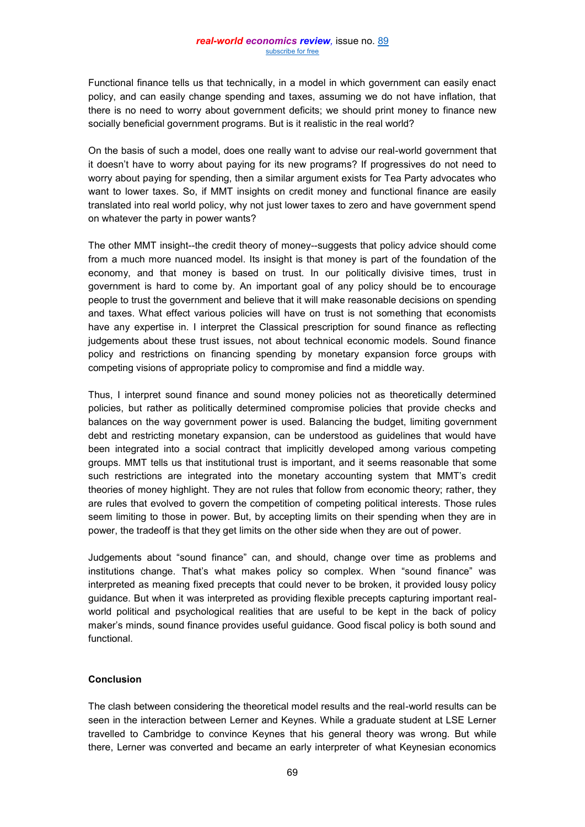Functional finance tells us that technically, in a model in which government can easily enact policy, and can easily change spending and taxes, assuming we do not have inflation, that there is no need to worry about government deficits; we should print money to finance new socially beneficial government programs. But is it realistic in the real world?

On the basis of such a model, does one really want to advise our real-world government that it doesn't have to worry about paying for its new programs? If progressives do not need to worry about paying for spending, then a similar argument exists for Tea Party advocates who want to lower taxes. So, if MMT insights on credit money and functional finance are easily translated into real world policy, why not just lower taxes to zero and have government spend on whatever the party in power wants?

The other MMT insight--the credit theory of money--suggests that policy advice should come from a much more nuanced model. Its insight is that money is part of the foundation of the economy, and that money is based on trust. In our politically divisive times, trust in government is hard to come by. An important goal of any policy should be to encourage people to trust the government and believe that it will make reasonable decisions on spending and taxes. What effect various policies will have on trust is not something that economists have any expertise in. I interpret the Classical prescription for sound finance as reflecting judgements about these trust issues, not about technical economic models. Sound finance policy and restrictions on financing spending by monetary expansion force groups with competing visions of appropriate policy to compromise and find a middle way.

Thus, I interpret sound finance and sound money policies not as theoretically determined policies, but rather as politically determined compromise policies that provide checks and balances on the way government power is used. Balancing the budget, limiting government debt and restricting monetary expansion, can be understood as guidelines that would have been integrated into a social contract that implicitly developed among various competing groups. MMT tells us that institutional trust is important, and it seems reasonable that some such restrictions are integrated into the monetary accounting system that MMT's credit theories of money highlight. They are not rules that follow from economic theory; rather, they are rules that evolved to govern the competition of competing political interests. Those rules seem limiting to those in power. But, by accepting limits on their spending when they are in power, the tradeoff is that they get limits on the other side when they are out of power.

Judgements about "sound finance" can, and should, change over time as problems and institutions change. That's what makes policy so complex. When "sound finance" was interpreted as meaning fixed precepts that could never to be broken, it provided lousy policy guidance. But when it was interpreted as providing flexible precepts capturing important realworld political and psychological realities that are useful to be kept in the back of policy maker's minds, sound finance provides useful guidance. Good fiscal policy is both sound and functional.

# **Conclusion**

The clash between considering the theoretical model results and the real-world results can be seen in the interaction between Lerner and Keynes. While a graduate student at LSE Lerner travelled to Cambridge to convince Keynes that his general theory was wrong. But while there, Lerner was converted and became an early interpreter of what Keynesian economics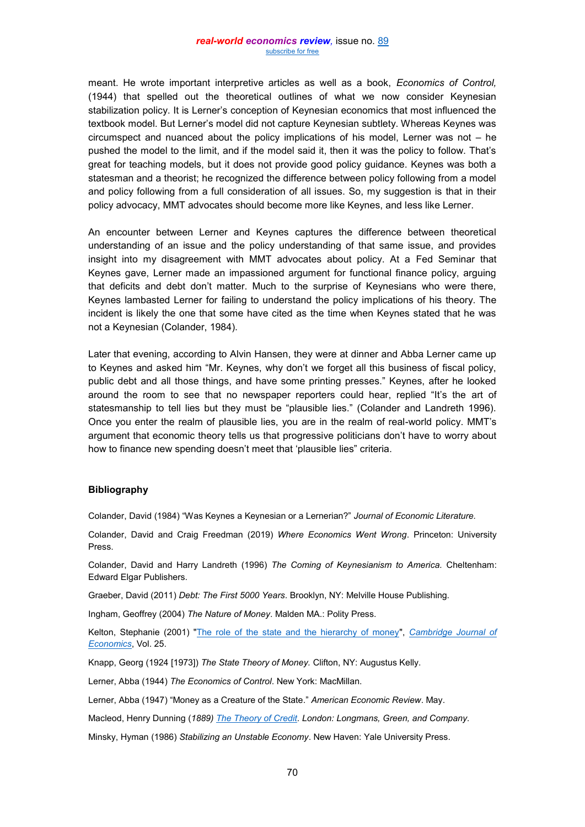meant. He wrote important interpretive articles as well as a book, *Economics of Control,* (1944) that spelled out the theoretical outlines of what we now consider Keynesian stabilization policy. It is Lerner's conception of Keynesian economics that most influenced the textbook model. But Lerner's model did not capture Keynesian subtlety. Whereas Keynes was circumspect and nuanced about the policy implications of his model, Lerner was not – he pushed the model to the limit, and if the model said it, then it was the policy to follow. That's great for teaching models, but it does not provide good policy guidance. Keynes was both a statesman and a theorist; he recognized the difference between policy following from a model and policy following from a full consideration of all issues. So, my suggestion is that in their policy advocacy, MMT advocates should become more like Keynes, and less like Lerner.

An encounter between Lerner and Keynes captures the difference between theoretical understanding of an issue and the policy understanding of that same issue, and provides insight into my disagreement with MMT advocates about policy. At a Fed Seminar that Keynes gave, Lerner made an impassioned argument for functional finance policy, arguing that deficits and debt don't matter. Much to the surprise of Keynesians who were there, Keynes lambasted Lerner for failing to understand the policy implications of his theory. The incident is likely the one that some have cited as the time when Keynes stated that he was not a Keynesian (Colander, 1984).

Later that evening, according to Alvin Hansen, they were at dinner and Abba Lerner came up to Keynes and asked him "Mr. Keynes, why don't we forget all this business of fiscal policy, public debt and all those things, and have some printing presses." Keynes, after he looked around the room to see that no newspaper reporters could hear, replied "It's the art of statesmanship to tell lies but they must be "plausible lies." (Colander and Landreth 1996). Once you enter the realm of plausible lies, you are in the realm of real-world policy. MMT's argument that economic theory tells us that progressive politicians don't have to worry about how to finance new spending doesn't meet that 'plausible lies" criteria.

#### **Bibliography**

Colander, David (1984) "Was Keynes a Keynesian or a Lernerian?" *Journal of Economic Literature.*

Colander, David and Craig Freedman (2019) *Where Economics Went Wrong*. Princeton: University Press.

Colander, David and Harry Landreth (1996) *The Coming of Keynesianism to America.* Cheltenham: Edward Elgar Publishers.

Graeber, David (2011) *Debt: The First 5000 Years*. Brooklyn, NY: Melville House Publishing.

Ingham, Geoffrey (2004) *The Nature of Money*. Malden MA.: Polity Press.

Kelton, Stephanie (2001) ["The role of the state and the hierarchy of money"](http://cas2.umkc.edu/economics/people/facultyPages/wray/courses/Econ601%202012/readings/Bell%20The%20Role%20of%20the%20State%20and%20the%20Hierarchy%20of%20Money.pdf), *[Cambridge Journal of](https://en.wikipedia.org/wiki/Cambridge_Journal_of_Economics)  [Economics](https://en.wikipedia.org/wiki/Cambridge_Journal_of_Economics)*, Vol. 25.

Knapp, Georg (1924 [1973]) *The State Theory of Money.* Clifton, NY: Augustus Kelly.

Lerner, Abba (1944) *The Economics of Control*. New York: MacMillan.

Lerner, Abba (1947) "Money as a Creature of the State." *American Economic Review*. May.

Macleod, Henry Dunning (*1889) [The Theory of Credit.](https://books.google.com/books?id=OgYaAAAAYAAJ) London: Longmans, Green, and Company.*

Minsky, Hyman (1986) *Stabilizing an Unstable Economy*. New Haven: Yale University Press.